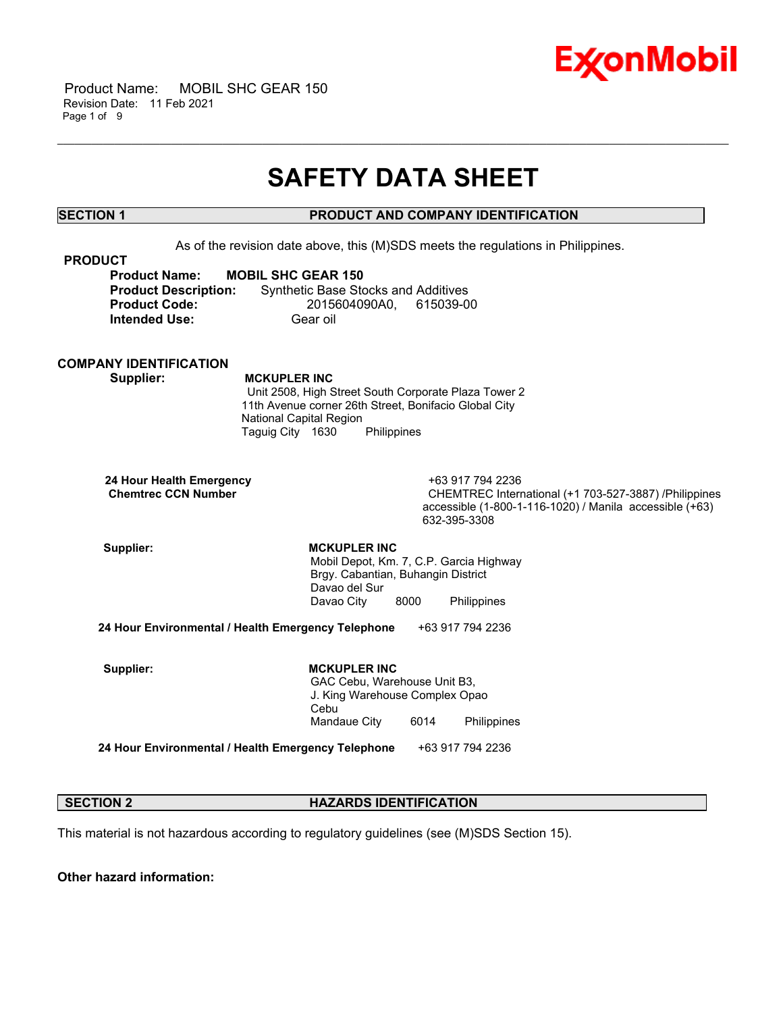

 Product Name: MOBIL SHC GEAR 150 Revision Date: 11 Feb 2021 Page 1 of 9

## **SAFETY DATA SHEET**

\_\_\_\_\_\_\_\_\_\_\_\_\_\_\_\_\_\_\_\_\_\_\_\_\_\_\_\_\_\_\_\_\_\_\_\_\_\_\_\_\_\_\_\_\_\_\_\_\_\_\_\_\_\_\_\_\_\_\_\_\_\_\_\_\_\_\_\_\_\_\_\_\_\_\_\_\_\_\_\_\_\_\_\_\_\_\_\_\_\_\_\_\_\_\_\_\_\_\_\_\_\_\_\_\_\_\_\_\_\_\_\_\_\_\_\_\_\_

### **SECTION 1 PRODUCT AND COMPANY IDENTIFICATION**

As of the revision date above, this (M)SDS meets the regulations in Philippines.

| <b>PRODUCT</b>              |                                            |
|-----------------------------|--------------------------------------------|
| <b>Product Name:</b>        | <b>MOBIL SHC GEAR 150</b>                  |
| <b>Product Description:</b> | <b>Synthetic Base Stocks and Additives</b> |
| <b>Product Code:</b>        | 2015604090A0. 615039-00                    |
| <b>Intended Use:</b>        | Gear oil                                   |

### **COMPANY IDENTIFICATION**

 **Supplier: MCKUPLER INC**

 Unit 2508, High Street South Corporate Plaza Tower 2 11th Avenue corner 26th Street, Bonifacio Global City National Capital Region Taguig City 1630 Philippines

 **24 Hour Health Emergency** +63 917 794 2236

CHEMTREC International (+1 703-527-3887) /Philippines accessible (1-800-1-116-1020) / Manila accessible (+63) 632-395-3308

Supplier: **MCKUPLER INC**  Mobil Depot, Km. 7, C.P. Garcia Highway Brgy. Cabantian, Buhangin District Davao del Sur Davao City 8000 Philippines

**24 Hour Environmental / Health Emergency Telephone** +63 917 794 2236

Supplier: **MCKUPLER INC**  GAC Cebu, Warehouse Unit B3, J. King Warehouse Complex Opao Cebu Mandaue City 6014 Philippines

**24 Hour Environmental / Health Emergency Telephone** +63 917 794 2236

### **SECTION 2 HAZARDS IDENTIFICATION**

This material is not hazardous according to regulatory guidelines (see (M)SDS Section 15).

**Other hazard information:**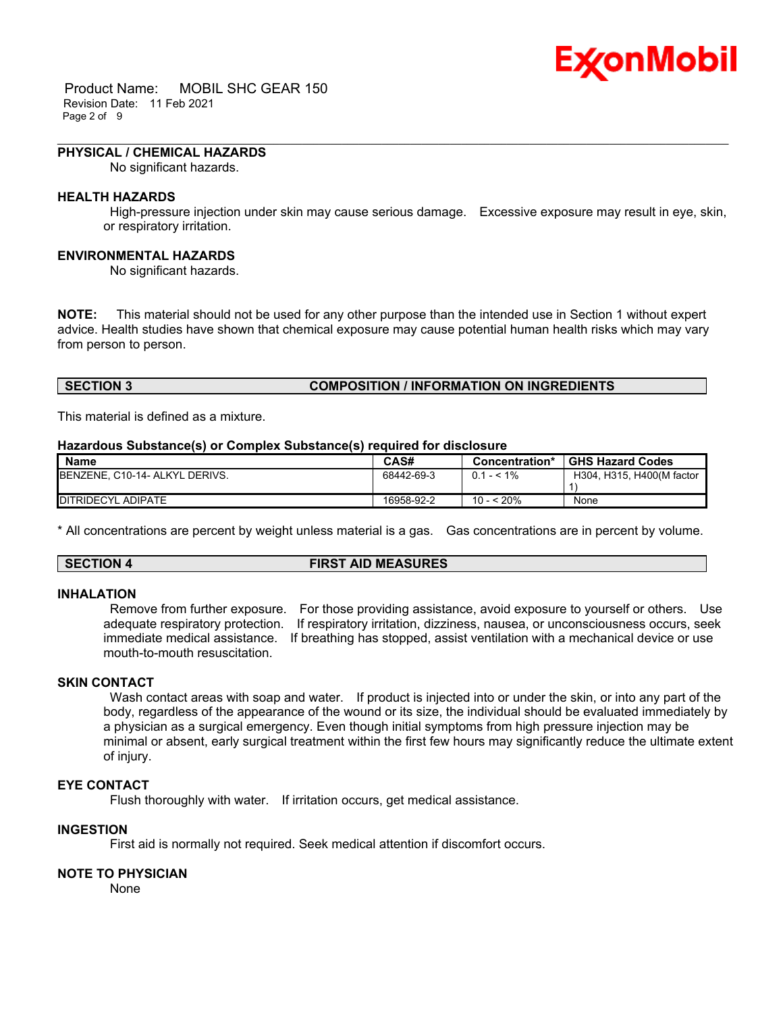# Ex⁄onMobil

 Product Name: MOBIL SHC GEAR 150 Revision Date: 11 Feb 2021 Page 2 of 9

#### **PHYSICAL / CHEMICAL HAZARDS**

No significant hazards.

#### **HEALTH HAZARDS**

 High-pressure injection under skin may cause serious damage. Excessive exposure may result in eye, skin, or respiratory irritation.

\_\_\_\_\_\_\_\_\_\_\_\_\_\_\_\_\_\_\_\_\_\_\_\_\_\_\_\_\_\_\_\_\_\_\_\_\_\_\_\_\_\_\_\_\_\_\_\_\_\_\_\_\_\_\_\_\_\_\_\_\_\_\_\_\_\_\_\_\_\_\_\_\_\_\_\_\_\_\_\_\_\_\_\_\_\_\_\_\_\_\_\_\_\_\_\_\_\_\_\_\_\_\_\_\_\_\_\_\_\_\_\_\_\_\_\_\_\_

#### **ENVIRONMENTAL HAZARDS**

No significant hazards.

**NOTE:** This material should not be used for any other purpose than the intended use in Section 1 without expert advice. Health studies have shown that chemical exposure may cause potential human health risks which may vary from person to person.

#### **SECTION 3 COMPOSITION / INFORMATION ON INGREDIENTS**

This material is defined as a mixture.

#### **Hazardous Substance(s) or Complex Substance(s) required for disclosure**

| <b>Name</b>                            | CAS#       | Concentration* | <b>GHS Hazard Codes</b>   |
|----------------------------------------|------------|----------------|---------------------------|
| <b>IBENZENE, C10-14- ALKYL DERIVS.</b> | 68442-69-3 | $0.1 - 5.1\%$  | H304, H315, H400(M factor |
|                                        |            |                |                           |
| DITRIDECYL ADIPATE                     | 16958-92-2 | 10 - < 20%     | None                      |

\* All concentrations are percent by weight unless material is a gas. Gas concentrations are in percent by volume.

#### **SECTION 4 FIRST AID MEASURES**

#### **INHALATION**

 Remove from further exposure. For those providing assistance, avoid exposure to yourself or others. Use adequate respiratory protection. If respiratory irritation, dizziness, nausea, or unconsciousness occurs, seek immediate medical assistance. If breathing has stopped, assist ventilation with a mechanical device or use mouth-to-mouth resuscitation.

#### **SKIN CONTACT**

Wash contact areas with soap and water. If product is injected into or under the skin, or into any part of the body, regardless of the appearance of the wound or its size, the individual should be evaluated immediately by a physician as a surgical emergency. Even though initial symptoms from high pressure injection may be minimal or absent, early surgical treatment within the first few hours may significantly reduce the ultimate extent of injury.

#### **EYE CONTACT**

Flush thoroughly with water. If irritation occurs, get medical assistance.

#### **INGESTION**

First aid is normally not required. Seek medical attention if discomfort occurs.

#### **NOTE TO PHYSICIAN**

None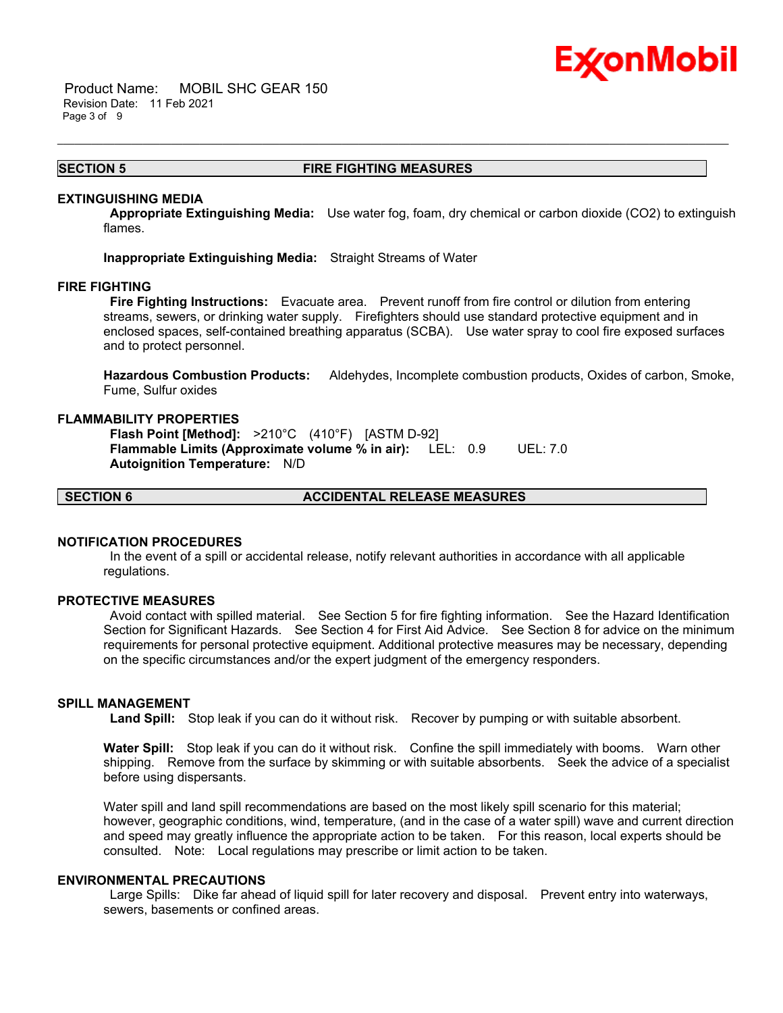## Ex⁄onMobil

 Product Name: MOBIL SHC GEAR 150 Revision Date: 11 Feb 2021 Page 3 of 9

#### **SECTION 5 FIRE FIGHTING MEASURES**

\_\_\_\_\_\_\_\_\_\_\_\_\_\_\_\_\_\_\_\_\_\_\_\_\_\_\_\_\_\_\_\_\_\_\_\_\_\_\_\_\_\_\_\_\_\_\_\_\_\_\_\_\_\_\_\_\_\_\_\_\_\_\_\_\_\_\_\_\_\_\_\_\_\_\_\_\_\_\_\_\_\_\_\_\_\_\_\_\_\_\_\_\_\_\_\_\_\_\_\_\_\_\_\_\_\_\_\_\_\_\_\_\_\_\_\_\_\_

#### **EXTINGUISHING MEDIA**

 **Appropriate Extinguishing Media:** Use water fog, foam, dry chemical or carbon dioxide (CO2) to extinguish flames.

**Inappropriate Extinguishing Media:** Straight Streams of Water

#### **FIRE FIGHTING**

 **Fire Fighting Instructions:** Evacuate area. Prevent runoff from fire control or dilution from entering streams, sewers, or drinking water supply. Firefighters should use standard protective equipment and in enclosed spaces, self-contained breathing apparatus (SCBA). Use water spray to cool fire exposed surfaces and to protect personnel.

**Hazardous Combustion Products:** Aldehydes, Incomplete combustion products, Oxides of carbon, Smoke, Fume, Sulfur oxides

#### **FLAMMABILITY PROPERTIES**

 **Flash Point [Method]:** >210°C (410°F) [ASTM D-92]  **Flammable Limits (Approximate volume % in air):** LEL: 0.9 UEL: 7.0  **Autoignition Temperature:** N/D

**SECTION 6 ACCIDENTAL RELEASE MEASURES**

#### **NOTIFICATION PROCEDURES**

 In the event of a spill or accidental release, notify relevant authorities in accordance with all applicable regulations.

#### **PROTECTIVE MEASURES**

 Avoid contact with spilled material. See Section 5 for fire fighting information. See the Hazard Identification Section for Significant Hazards. See Section 4 for First Aid Advice. See Section 8 for advice on the minimum requirements for personal protective equipment. Additional protective measures may be necessary, depending on the specific circumstances and/or the expert judgment of the emergency responders.

### **SPILL MANAGEMENT**

 **Land Spill:** Stop leak if you can do it without risk. Recover by pumping or with suitable absorbent.

**Water Spill:** Stop leak if you can do it without risk. Confine the spill immediately with booms. Warn other shipping. Remove from the surface by skimming or with suitable absorbents. Seek the advice of a specialist before using dispersants.

Water spill and land spill recommendations are based on the most likely spill scenario for this material; however, geographic conditions, wind, temperature, (and in the case of a water spill) wave and current direction and speed may greatly influence the appropriate action to be taken. For this reason, local experts should be consulted. Note: Local regulations may prescribe or limit action to be taken.

#### **ENVIRONMENTAL PRECAUTIONS**

 Large Spills: Dike far ahead of liquid spill for later recovery and disposal. Prevent entry into waterways, sewers, basements or confined areas.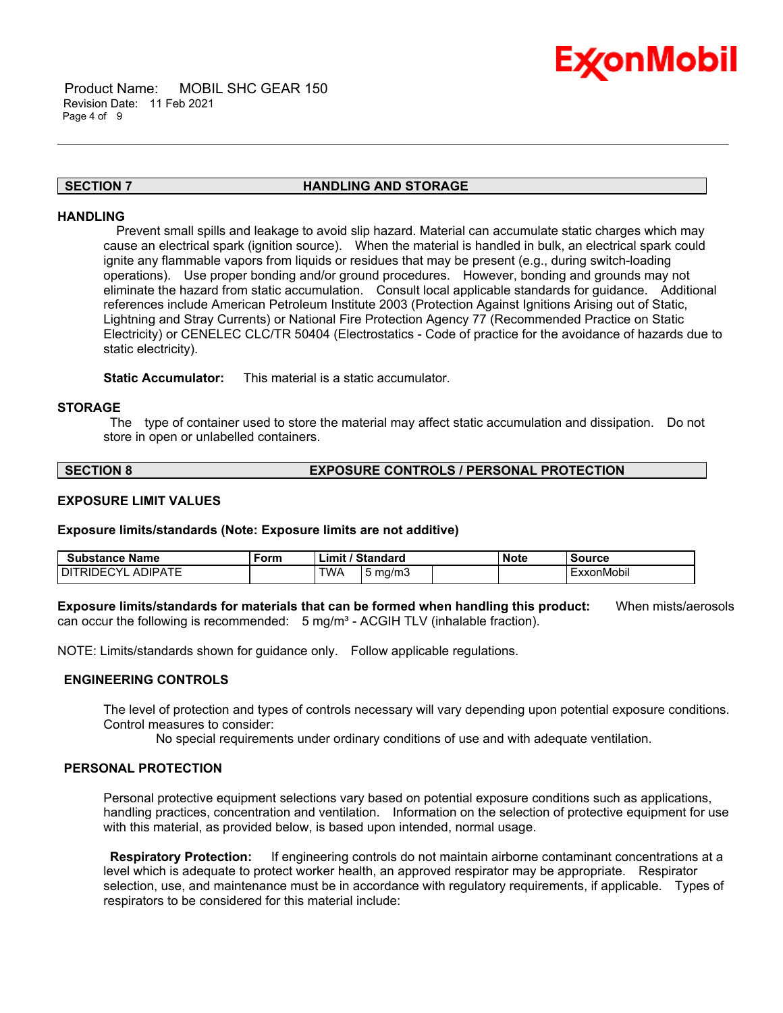

#### **SECTION 7 HANDLING AND STORAGE**

\_\_\_\_\_\_\_\_\_\_\_\_\_\_\_\_\_\_\_\_\_\_\_\_\_\_\_\_\_\_\_\_\_\_\_\_\_\_\_\_\_\_\_\_\_\_\_\_\_\_\_\_\_\_\_\_\_\_\_\_\_\_\_\_\_\_\_\_\_\_\_\_\_\_\_\_\_\_\_\_\_\_\_\_\_\_\_\_\_\_\_\_\_\_\_\_\_\_\_\_\_\_\_\_\_\_\_\_\_\_\_\_\_\_\_\_\_\_

#### **HANDLING**

 Prevent small spills and leakage to avoid slip hazard. Material can accumulate static charges which may cause an electrical spark (ignition source). When the material is handled in bulk, an electrical spark could ignite any flammable vapors from liquids or residues that may be present (e.g., during switch-loading operations). Use proper bonding and/or ground procedures. However, bonding and grounds may not eliminate the hazard from static accumulation. Consult local applicable standards for guidance. Additional references include American Petroleum Institute 2003 (Protection Against Ignitions Arising out of Static, Lightning and Stray Currents) or National Fire Protection Agency 77 (Recommended Practice on Static Electricity) or CENELEC CLC/TR 50404 (Electrostatics - Code of practice for the avoidance of hazards due to static electricity).

**Static Accumulator:** This material is a static accumulator.

#### **STORAGE**

 The type of container used to store the material may affect static accumulation and dissipation. Do not store in open or unlabelled containers.

#### **SECTION 8 EXPOSURE CONTROLS / PERSONAL PROTECTION**

#### **EXPOSURE LIMIT VALUES**

**Exposure limits/standards (Note: Exposure limits are not additive)**

| Substance Name                          | Form | Standard<br>'∟imi\ |            | <b>Note</b> | Source |            |
|-----------------------------------------|------|--------------------|------------|-------------|--------|------------|
| . ADIPATE<br>DI.<br>$\cdot$<br>1⊢<br>RШ |      | TWA                | mg/m.<br>ັ |             |        | ExxonMobil |

**Exposure limits/standards for materials that can be formed when handling this product:** When mists/aerosols can occur the following is recommended:  $5 \text{ mg/m}^3$  - ACGIH TLV (inhalable fraction).

NOTE: Limits/standards shown for guidance only. Follow applicable regulations.

#### **ENGINEERING CONTROLS**

The level of protection and types of controls necessary will vary depending upon potential exposure conditions. Control measures to consider:

No special requirements under ordinary conditions of use and with adequate ventilation.

#### **PERSONAL PROTECTION**

Personal protective equipment selections vary based on potential exposure conditions such as applications, handling practices, concentration and ventilation. Information on the selection of protective equipment for use with this material, as provided below, is based upon intended, normal usage.

 **Respiratory Protection:** If engineering controls do not maintain airborne contaminant concentrations at a level which is adequate to protect worker health, an approved respirator may be appropriate. Respirator selection, use, and maintenance must be in accordance with regulatory requirements, if applicable. Types of respirators to be considered for this material include: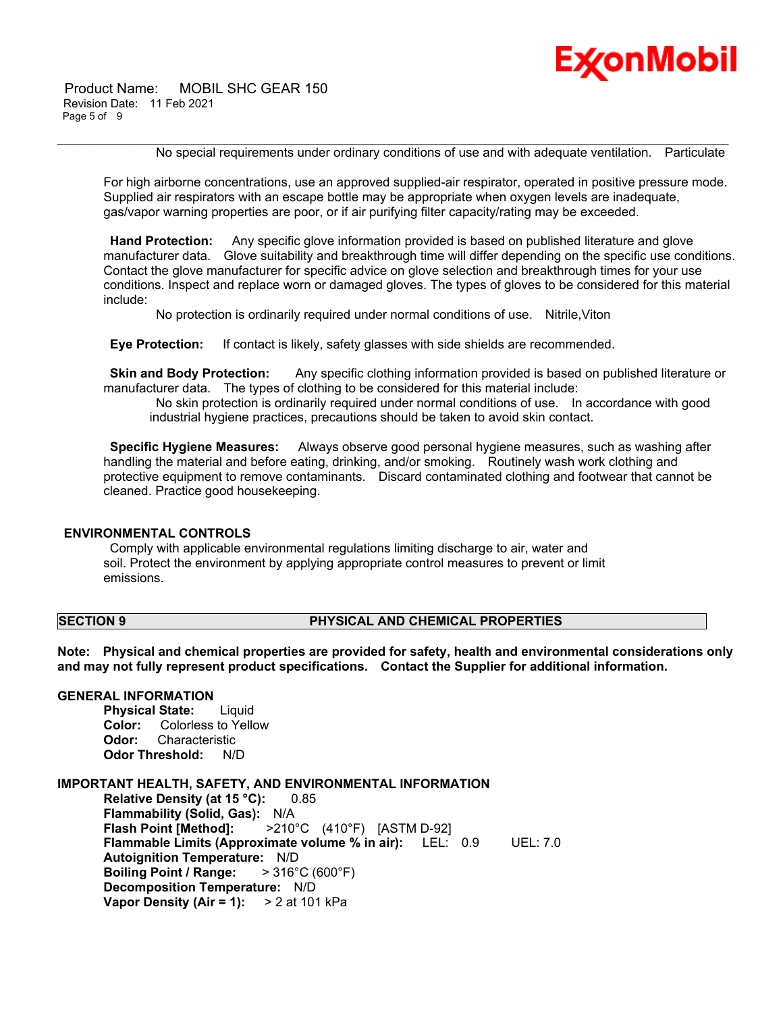

 Product Name: MOBIL SHC GEAR 150 Revision Date: 11 Feb 2021 Page 5 of 9

No special requirements under ordinary conditions of use and with adequate ventilation. Particulate

For high airborne concentrations, use an approved supplied-air respirator, operated in positive pressure mode. Supplied air respirators with an escape bottle may be appropriate when oxygen levels are inadequate, gas/vapor warning properties are poor, or if air purifying filter capacity/rating may be exceeded.

\_\_\_\_\_\_\_\_\_\_\_\_\_\_\_\_\_\_\_\_\_\_\_\_\_\_\_\_\_\_\_\_\_\_\_\_\_\_\_\_\_\_\_\_\_\_\_\_\_\_\_\_\_\_\_\_\_\_\_\_\_\_\_\_\_\_\_\_\_\_\_\_\_\_\_\_\_\_\_\_\_\_\_\_\_\_\_\_\_\_\_\_\_\_\_\_\_\_\_\_\_\_\_\_\_\_\_\_\_\_\_\_\_\_\_\_\_\_

 **Hand Protection:** Any specific glove information provided is based on published literature and glove manufacturer data. Glove suitability and breakthrough time will differ depending on the specific use conditions. Contact the glove manufacturer for specific advice on glove selection and breakthrough times for your use conditions. Inspect and replace worn or damaged gloves. The types of gloves to be considered for this material include:

No protection is ordinarily required under normal conditions of use. Nitrile,Viton

 **Eye Protection:** If contact is likely, safety glasses with side shields are recommended.

**Skin and Body Protection:** Any specific clothing information provided is based on published literature or manufacturer data. The types of clothing to be considered for this material include:

 No skin protection is ordinarily required under normal conditions of use. In accordance with good industrial hygiene practices, precautions should be taken to avoid skin contact.

 **Specific Hygiene Measures:** Always observe good personal hygiene measures, such as washing after handling the material and before eating, drinking, and/or smoking. Routinely wash work clothing and protective equipment to remove contaminants. Discard contaminated clothing and footwear that cannot be cleaned. Practice good housekeeping.

#### **ENVIRONMENTAL CONTROLS**

 Comply with applicable environmental regulations limiting discharge to air, water and soil. Protect the environment by applying appropriate control measures to prevent or limit emissions.

#### **SECTION 9 PHYSICAL AND CHEMICAL PROPERTIES**

**Note: Physical and chemical properties are provided for safety, health and environmental considerations only and may not fully represent product specifications. Contact the Supplier for additional information.**

### **GENERAL INFORMATION**

**Physical State:** Liquid **Color:** Colorless to Yellow **Odor:** Characteristic **Odor Threshold:** N/D

#### **IMPORTANT HEALTH, SAFETY, AND ENVIRONMENTAL INFORMATION**

**Relative Density (at 15 °C):** 0.85 **Flammability (Solid, Gas):** N/A **Flash Point [Method]:** >210°C (410°F) [ASTM D-92] **Flammable Limits (Approximate volume % in air):** LEL: 0.9 UEL: 7.0 **Autoignition Temperature:** N/D **Boiling Point / Range:** > 316°C (600°F) **Decomposition Temperature:** N/D **Vapor Density (Air = 1):** > 2 at 101 kPa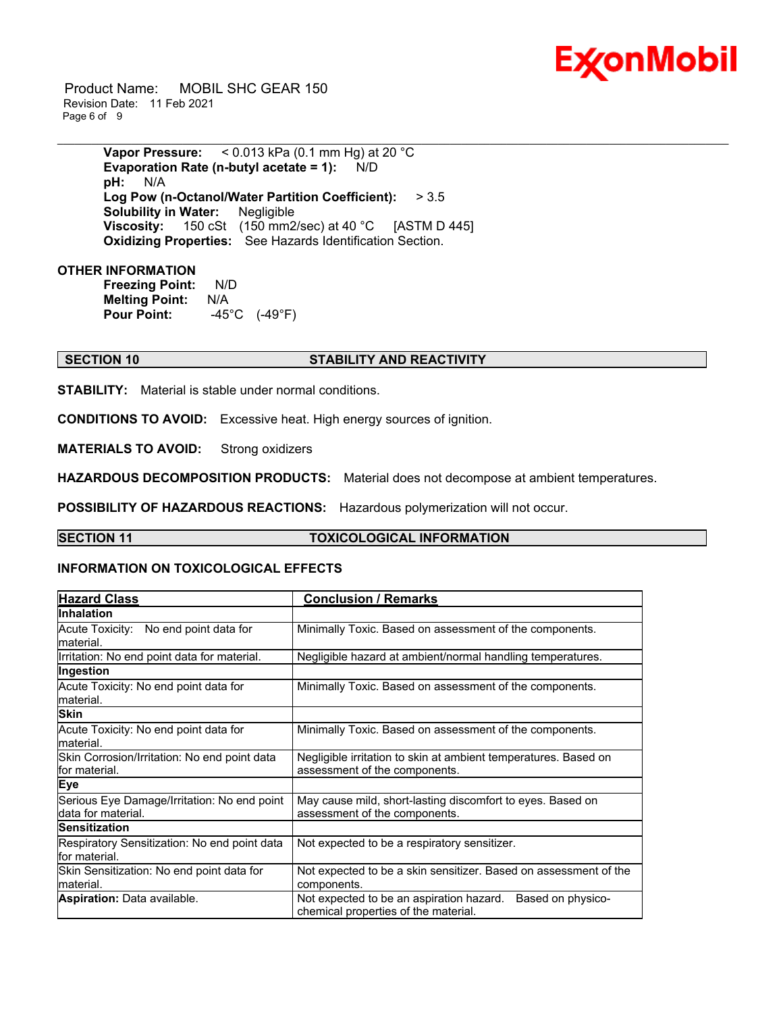

 Product Name: MOBIL SHC GEAR 150 Revision Date: 11 Feb 2021 Page 6 of 9

> **Vapor Pressure:** < 0.013 kPa (0.1 mm Hg) at 20 °C **Evaporation Rate (n-butyl acetate = 1):** N/D **pH:** N/A **Log Pow (n-Octanol/Water Partition Coefficient):** > 3.5 **Solubility in Water:** Negligible **Viscosity:** 150 cSt (150 mm2/sec) at 40 °C [ASTM D 445] **Oxidizing Properties:** See Hazards Identification Section.

#### **OTHER INFORMATION**

**Freezing Point:** N/D **Melting Point:** N/A **Pour Point:** -45°C (-49°F)

### **SECTION 10 STABILITY AND REACTIVITY**

**STABILITY:** Material is stable under normal conditions.

**CONDITIONS TO AVOID:** Excessive heat. High energy sources of ignition.

**MATERIALS TO AVOID:** Strong oxidizers

**HAZARDOUS DECOMPOSITION PRODUCTS:** Material does not decompose at ambient temperatures.

**POSSIBILITY OF HAZARDOUS REACTIONS:** Hazardous polymerization will not occur.

#### **SECTION 11 TOXICOLOGICAL INFORMATION**

\_\_\_\_\_\_\_\_\_\_\_\_\_\_\_\_\_\_\_\_\_\_\_\_\_\_\_\_\_\_\_\_\_\_\_\_\_\_\_\_\_\_\_\_\_\_\_\_\_\_\_\_\_\_\_\_\_\_\_\_\_\_\_\_\_\_\_\_\_\_\_\_\_\_\_\_\_\_\_\_\_\_\_\_\_\_\_\_\_\_\_\_\_\_\_\_\_\_\_\_\_\_\_\_\_\_\_\_\_\_\_\_\_\_\_\_\_\_

#### **INFORMATION ON TOXICOLOGICAL EFFECTS**

| <b>Hazard Class</b>                                               | <b>Conclusion / Remarks</b>                                                                           |  |  |
|-------------------------------------------------------------------|-------------------------------------------------------------------------------------------------------|--|--|
| <b>Inhalation</b>                                                 |                                                                                                       |  |  |
| Acute Toxicity: No end point data for<br>lmaterial.               | Minimally Toxic. Based on assessment of the components.                                               |  |  |
| Irritation: No end point data for material.                       | Negligible hazard at ambient/normal handling temperatures.                                            |  |  |
| Ingestion                                                         |                                                                                                       |  |  |
| Acute Toxicity: No end point data for<br>lmaterial.               | Minimally Toxic. Based on assessment of the components.                                               |  |  |
| <b>Skin</b>                                                       |                                                                                                       |  |  |
| Acute Toxicity: No end point data for<br>lmaterial.               | Minimally Toxic. Based on assessment of the components.                                               |  |  |
| Skin Corrosion/Irritation: No end point data<br>lfor material.    | Negligible irritation to skin at ambient temperatures. Based on<br>assessment of the components.      |  |  |
| <b>Eye</b>                                                        |                                                                                                       |  |  |
| Serious Eye Damage/Irritation: No end point<br>data for material. | May cause mild, short-lasting discomfort to eyes. Based on<br>assessment of the components.           |  |  |
| <b>Sensitization</b>                                              |                                                                                                       |  |  |
| Respiratory Sensitization: No end point data<br>lfor material.    | Not expected to be a respiratory sensitizer.                                                          |  |  |
| Skin Sensitization: No end point data for<br>material.            | Not expected to be a skin sensitizer. Based on assessment of the<br>components.                       |  |  |
| <b>Aspiration: Data available.</b>                                | Based on physico-<br>Not expected to be an aspiration hazard.<br>chemical properties of the material. |  |  |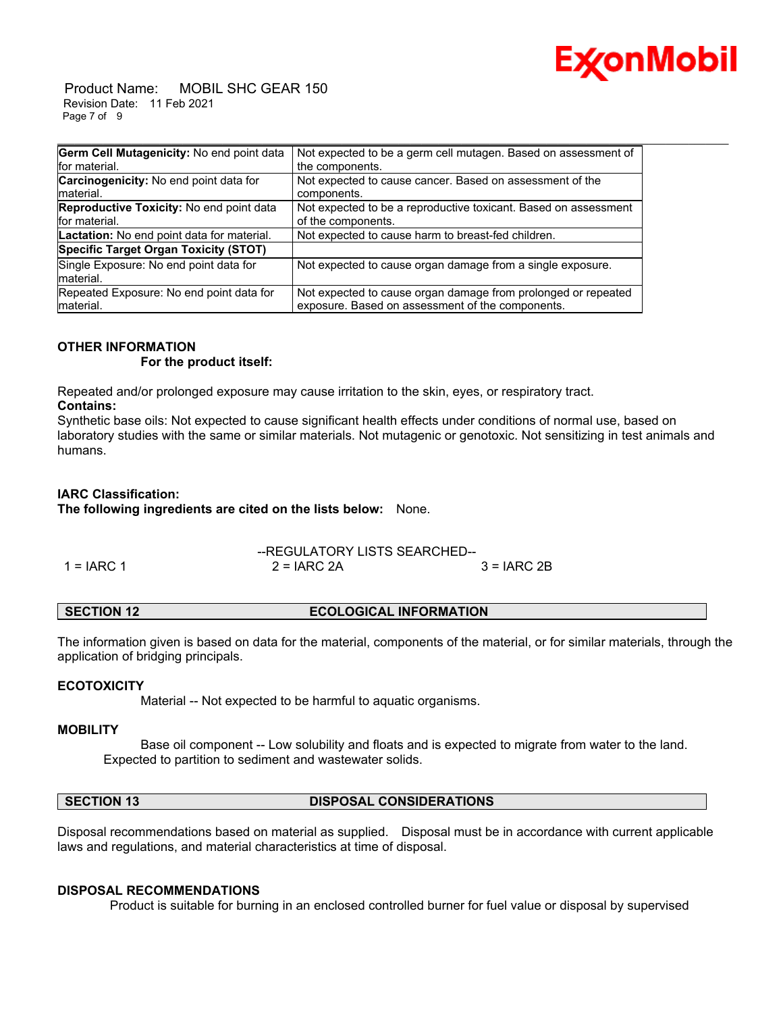

 Product Name: MOBIL SHC GEAR 150 Revision Date: 11 Feb 2021 Page 7 of 9

| Germ Cell Mutagenicity: No end point data       | Not expected to be a germ cell mutagen. Based on assessment of  |
|-------------------------------------------------|-----------------------------------------------------------------|
| for material.                                   | the components.                                                 |
| Carcinogenicity: No end point data for          | Not expected to cause cancer. Based on assessment of the        |
| Imaterial.                                      | components.                                                     |
| <b>Reproductive Toxicity: No end point data</b> | Not expected to be a reproductive toxicant. Based on assessment |
| for material.                                   | of the components.                                              |
| Lactation: No end point data for material.      | Not expected to cause harm to breast-fed children.              |
| Specific Target Organ Toxicity (STOT)           |                                                                 |
| Single Exposure: No end point data for          | Not expected to cause organ damage from a single exposure.      |
| material.                                       |                                                                 |
| Repeated Exposure: No end point data for        | Not expected to cause organ damage from prolonged or repeated   |
| material.                                       | exposure. Based on assessment of the components.                |

### **OTHER INFORMATION**

 **For the product itself:** 

Repeated and/or prolonged exposure may cause irritation to the skin, eyes, or respiratory tract. **Contains:**

Synthetic base oils: Not expected to cause significant health effects under conditions of normal use, based on laboratory studies with the same or similar materials. Not mutagenic or genotoxic. Not sensitizing in test animals and humans.

### **IARC Classification:**

**The following ingredients are cited on the lists below:** None.

|              | --REGULATORY LISTS SEARCHED-- |               |  |
|--------------|-------------------------------|---------------|--|
| $1 = IARC 1$ | $2 = IARC 2A$                 | $3 = IARC 2B$ |  |

The information given is based on data for the material, components of the material, or for similar materials, through the application of bridging principals.

#### **ECOTOXICITY**

Material -- Not expected to be harmful to aquatic organisms.

#### **MOBILITY**

 Base oil component -- Low solubility and floats and is expected to migrate from water to the land. Expected to partition to sediment and wastewater solids.

**SECTION 13 DISPOSAL CONSIDERATIONS** 

Disposal recommendations based on material as supplied. Disposal must be in accordance with current applicable laws and regulations, and material characteristics at time of disposal.

#### **DISPOSAL RECOMMENDATIONS**

Product is suitable for burning in an enclosed controlled burner for fuel value or disposal by supervised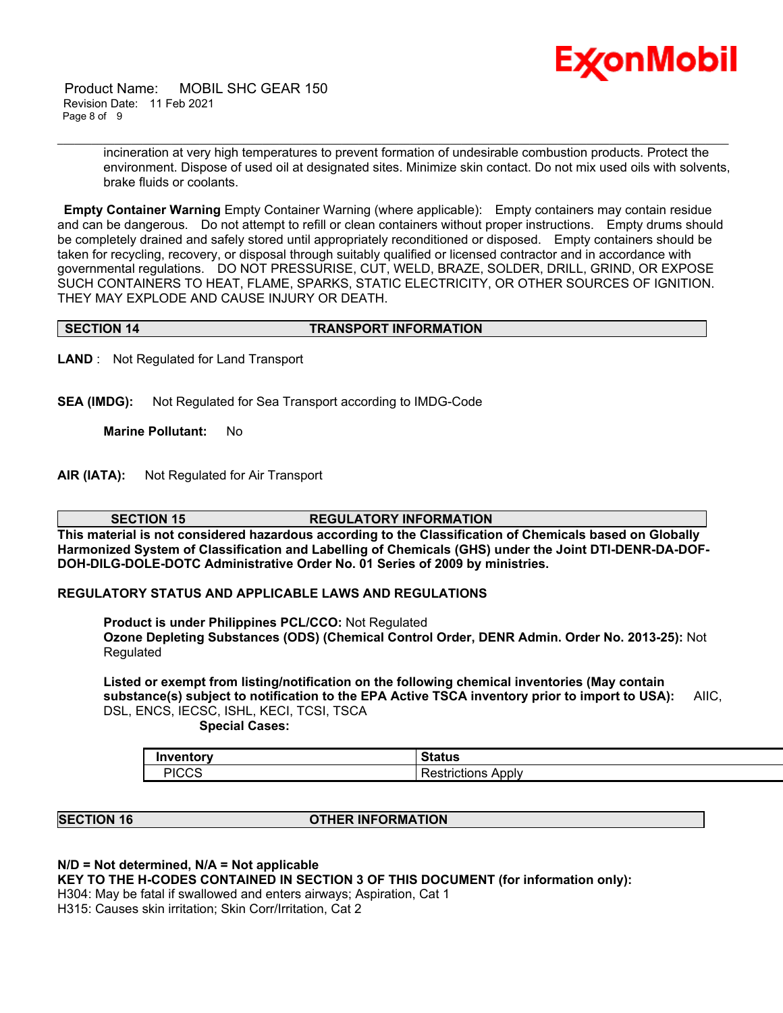

 Product Name: MOBIL SHC GEAR 150 Revision Date: 11 Feb 2021 Page 8 of 9

> incineration at very high temperatures to prevent formation of undesirable combustion products. Protect the environment. Dispose of used oil at designated sites. Minimize skin contact. Do not mix used oils with solvents, brake fluids or coolants.

**Empty Container Warning** Empty Container Warning (where applicable): Empty containers may contain residue and can be dangerous. Do not attempt to refill or clean containers without proper instructions. Empty drums should be completely drained and safely stored until appropriately reconditioned or disposed. Empty containers should be taken for recycling, recovery, or disposal through suitably qualified or licensed contractor and in accordance with governmental regulations. DO NOT PRESSURISE, CUT, WELD, BRAZE, SOLDER, DRILL, GRIND, OR EXPOSE SUCH CONTAINERS TO HEAT, FLAME, SPARKS, STATIC ELECTRICITY, OR OTHER SOURCES OF IGNITION. THEY MAY EXPLODE AND CAUSE INJURY OR DEATH.

\_\_\_\_\_\_\_\_\_\_\_\_\_\_\_\_\_\_\_\_\_\_\_\_\_\_\_\_\_\_\_\_\_\_\_\_\_\_\_\_\_\_\_\_\_\_\_\_\_\_\_\_\_\_\_\_\_\_\_\_\_\_\_\_\_\_\_\_\_\_\_\_\_\_\_\_\_\_\_\_\_\_\_\_\_\_\_\_\_\_\_\_\_\_\_\_\_\_\_\_\_\_\_\_\_\_\_\_\_\_\_\_\_\_\_\_\_\_

#### **SECTION 14 TRANSPORT INFORMATION**

**LAND** : Not Regulated for Land Transport

**SEA (IMDG):** Not Regulated for Sea Transport according to IMDG-Code

**Marine Pollutant:** No

**AIR (IATA):** Not Regulated for Air Transport

**SECTION 15 REGULATORY INFORMATION This material is not considered hazardous according to the Classification of Chemicals based on Globally Harmonized System of Classification and Labelling of Chemicals (GHS) under the Joint DTI-DENR-DA-DOF-**

**DOH-DILG-DOLE-DOTC Administrative Order No. 01 Series of 2009 by ministries.**

### **REGULATORY STATUS AND APPLICABLE LAWS AND REGULATIONS**

**Product is under Philippines PCL/CCO:** Not Regulated **Ozone Depleting Substances (ODS) (Chemical Control Order, DENR Admin. Order No. 2013-25):** Not Regulated

**Listed or exempt from listing/notification on the following chemical inventories (May contain substance(s) subject to notification to the EPA Active TSCA inventory prior to import to USA):** AIIC, DSL, ENCS, IECSC, ISHL, KECI, TCSI, TSCA  **Special Cases:**

| Invonton<br>πισεν   |                         |
|---------------------|-------------------------|
| DIOOC<br><u>UUC</u> | Apply<br>.rictions<br>- |

#### **SECTION 16 OTHER INFORMATION**

**N/D = Not determined, N/A = Not applicable**

**KEY TO THE H-CODES CONTAINED IN SECTION 3 OF THIS DOCUMENT (for information only):**

H304: May be fatal if swallowed and enters airways; Aspiration, Cat 1

H315: Causes skin irritation; Skin Corr/Irritation, Cat 2